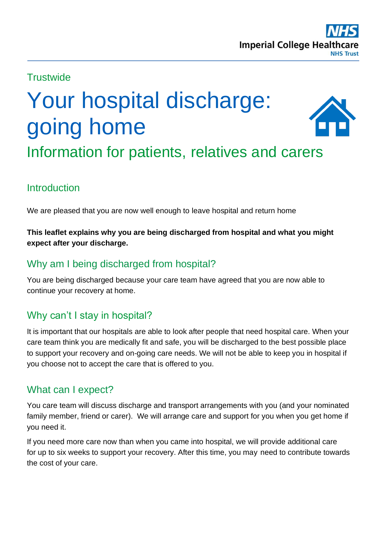#### **Trustwide**

# Your hospital discharge: going home



# Information for patients, relatives and carers

# **Introduction**

We are pleased that you are now well enough to leave hospital and return home

**This leaflet explains why you are being discharged from hospital and what you might expect after your discharge.**

# Why am I being discharged from hospital?

You are being discharged because your care team have agreed that you are now able to continue your recovery at home.

## Why can't I stay in hospital?

It is important that our hospitals are able to look after people that need hospital care. When your care team think you are medically fit and safe, you will be discharged to the best possible place to support your recovery and on-going care needs. We will not be able to keep you in hospital if you choose not to accept the care that is offered to you.

## What can I expect?

You care team will discuss discharge and transport arrangements with you (and your nominated family member, friend or carer). We will arrange care and support for you when you get home if you need it.

If you need more care now than when you came into hospital, we will provide additional care for up to six weeks to support your recovery. After this time, you may need to contribute towards the cost of your care.